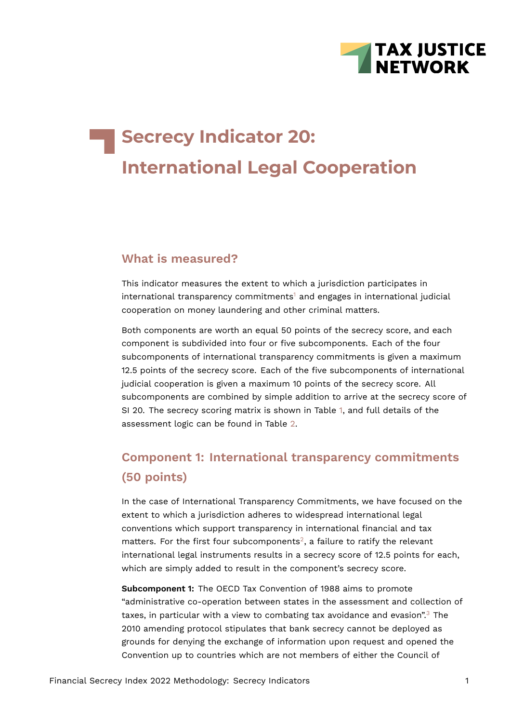

# **Secrecy Indicator 20: International Legal Cooperation**

#### **What is measured?**

<span id="page-0-0"></span>This indicator measures the extent to which a jurisdiction participates in  $international transparency$  commitments<sup>[1](#page-15-0)</sup> and engages in international judicial cooperation on money laundering and other criminal matters.

Both components are worth an equal 50 points of the secrecy score, and each component is subdivided into four or five subcomponents. Each of the four subcomponents of international transparency commitments is given a maximum 12.5 points of the secrecy score. Each of the five subcomponents of international judicial cooperation is given a maximum 10 points of the secrecy score. All subcomponents are combined by simple addition to arrive at the secrecy score of SI 20. The secrecy scoring matrix is shown in Table [1](#page-1-0), and full details of the assessment logic can be found in Table [2.](#page-6-0)

## **Component 1: International transparency commitments (50 points)**

<span id="page-0-1"></span>In the case of International Transparency Commitments, we have focused on the extent to which a jurisdiction adheres to widespread international legal conventions which support transparency in international financial and tax matters. For the first four subcomponents<sup>[2](#page-15-1)</sup>, a failure to ratify the relevant international legal instruments results in a secrecy score of 12.5 points for each, which are simply added to result in the component's secrecy score.

<span id="page-0-2"></span>**Subcomponent 1:** The OECD Tax Convention of 1988 aims to promote "administrative co-operation between states in the assessment and collection of taxes, in particular with a view to combating tax avoidance and evasion".<sup>[3](#page-15-2)</sup> The 2010 amending protocol stipulates that bank secrecy cannot be deployed as grounds for denying the exchange of information upon request and opened the Convention up to countries which are not members of either the Council of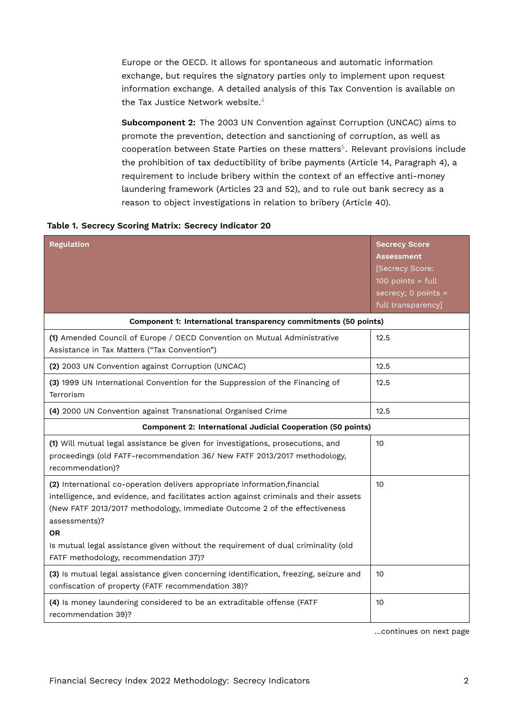Europe or the OECD. It allows for spontaneous and automatic information exchange, but requires the signatory parties only to implement upon request information exchange. A detailed analysis of this Tax Convention is available on the Tax Justice Network website.<sup>[4](#page-15-3)</sup>

<span id="page-1-2"></span><span id="page-1-1"></span>**Subcomponent 2:** The 2003 UN Convention against Corruption (UNCAC) aims to promote the prevention, detection and sanctioning of corruption, as well as cooperation between State Parties on these matters<sup>[5](#page-15-4)</sup>. Relevant provisions include the prohibition of tax deductibility of bribe payments (Article 14, Paragraph 4), a requirement to include bribery within the context of an effective anti-money laundering framework (Articles 23 and 52), and to rule out bank secrecy as a reason to object investigations in relation to bribery (Article 40).

| <b>Regulation</b>                                                                                                                                                                                                                                                                                                                                                                                            | <b>Secrecy Score</b><br><b>Assessment</b><br>[Secrecy Score:<br>$100$ points = full<br>secrecy; 0 points =<br>full transparency] |
|--------------------------------------------------------------------------------------------------------------------------------------------------------------------------------------------------------------------------------------------------------------------------------------------------------------------------------------------------------------------------------------------------------------|----------------------------------------------------------------------------------------------------------------------------------|
| Component 1: International transparency commitments (50 points)                                                                                                                                                                                                                                                                                                                                              |                                                                                                                                  |
| (1) Amended Council of Europe / OECD Convention on Mutual Administrative<br>Assistance in Tax Matters ("Tax Convention")                                                                                                                                                                                                                                                                                     | 12.5                                                                                                                             |
| (2) 2003 UN Convention against Corruption (UNCAC)                                                                                                                                                                                                                                                                                                                                                            | 12.5                                                                                                                             |
| (3) 1999 UN International Convention for the Suppression of the Financing of<br>Terrorism                                                                                                                                                                                                                                                                                                                    | 12.5                                                                                                                             |
| (4) 2000 UN Convention against Transnational Organised Crime                                                                                                                                                                                                                                                                                                                                                 | 12.5                                                                                                                             |
| Component 2: International Judicial Cooperation (50 points)                                                                                                                                                                                                                                                                                                                                                  |                                                                                                                                  |
| (1) Will mutual legal assistance be given for investigations, prosecutions, and<br>proceedings (old FATF-recommendation 36/ New FATF 2013/2017 methodology,<br>recommendation)?                                                                                                                                                                                                                              | 10                                                                                                                               |
| (2) International co-operation delivers appropriate information, financial<br>intelligence, and evidence, and facilitates action against criminals and their assets<br>(New FATF 2013/2017 methodology, Immediate Outcome 2 of the effectiveness<br>assessments)?<br><b>OR</b><br>Is mutual legal assistance given without the requirement of dual criminality (old<br>FATF methodology, recommendation 37)? | 10                                                                                                                               |
| (3) Is mutual legal assistance given concerning identification, freezing, seizure and<br>confiscation of property (FATF recommendation 38)?                                                                                                                                                                                                                                                                  | 10 <sup>10</sup>                                                                                                                 |
| (4) Is money laundering considered to be an extraditable offense (FATF<br>recommendation 39)?                                                                                                                                                                                                                                                                                                                | 10                                                                                                                               |

#### <span id="page-1-0"></span>**Table 1. Secrecy Scoring Matrix: Secrecy Indicator 20**

…continues on next page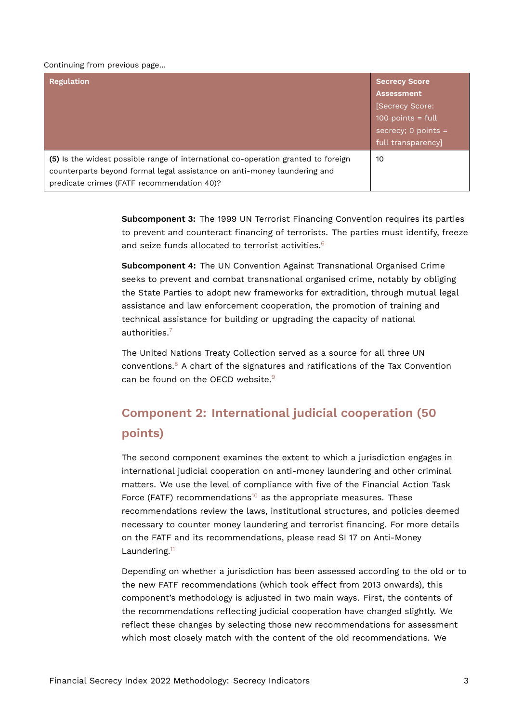#### Continuing from previous page…

| <b>Regulation</b>                                                                                                                                                                                           | <b>Secrecy Score</b><br><b>Assessment</b><br>[Secrecy Score:<br>100 points = $full$<br>secrecy; $0$ points =<br>full transparency] |
|-------------------------------------------------------------------------------------------------------------------------------------------------------------------------------------------------------------|------------------------------------------------------------------------------------------------------------------------------------|
| (5) Is the widest possible range of international co-operation granted to foreign<br>counterparts beyond formal legal assistance on anti-money laundering and<br>predicate crimes (FATF recommendation 40)? | 10                                                                                                                                 |

**Subcomponent 3:** The 1999 UN Terrorist Financing Convention requires its parties to prevent and counteract financing of terrorists. The parties must identify, freeze and seize funds allocated to terrorist activities.<sup>[6](#page-15-5)</sup>

<span id="page-2-0"></span>**Subcomponent 4:** The UN Convention Against Transnational Organised Crime seeks to prevent and combat transnational organised crime, notably by obliging the State Parties to adopt new frameworks for extradition, through mutual legal assistance and law enforcement cooperation, the promotion of training and technical assistance for building or upgrading the capacity of national authorities.[7](#page-15-6)

<span id="page-2-3"></span><span id="page-2-2"></span><span id="page-2-1"></span>The United Nations Treaty Collection served as a source for all three UN conventions. $8$  A chart of the signatures and ratifications of the Tax Convention can be found on the OFCD website.<sup>[9](#page-15-8)</sup>

## **Component 2: International judicial cooperation (50 points)**

<span id="page-2-4"></span>The second component examines the extent to which a jurisdiction engages in international judicial cooperation on anti-money laundering and other criminal matters. We use the level of compliance with five of the Financial Action Task Force (FATF) recommendations<sup>[10](#page-15-9)</sup> as the appropriate measures. These recommendations review the laws, institutional structures, and policies deemed necessary to counter money laundering and terrorist financing. For more details on the FATF and its recommendations, please read SI 17 on Anti-Money Laundering.<sup>[11](#page-15-10)</sup>

<span id="page-2-5"></span>Depending on whether a jurisdiction has been assessed according to the old or to the new FATF recommendations (which took effect from 2013 onwards), this component's methodology is adjusted in two main ways. First, the contents of the recommendations reflecting judicial cooperation have changed slightly. We reflect these changes by selecting those new recommendations for assessment which most closely match with the content of the old recommendations. We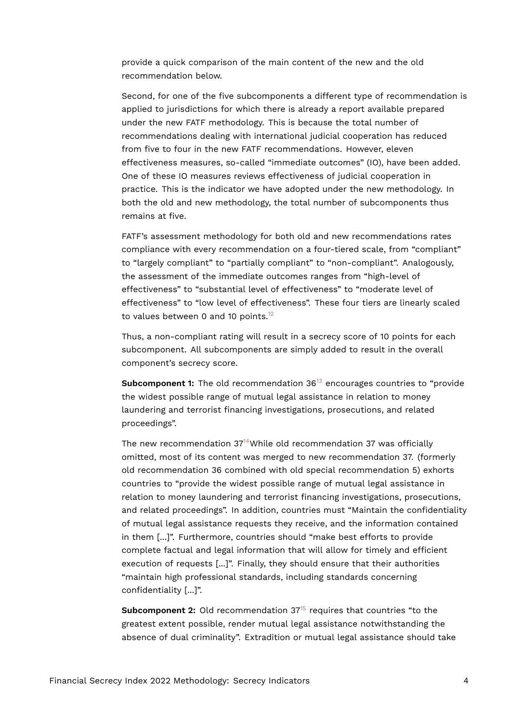provide a quick comparison of the main content of the new and the old recommendation below.

Second, for one of the five subcomponents a different type of recommendation is applied to jurisdictions for which there is already a report available prepared under the new FATF methodology. This is because the total number of recommendations dealing with international judicial cooperation has reduced from five to four in the new FATF recommendations. However, eleven effectiveness measures, so-called "immediate outcomes" (IO), have been added. One of these IO measures reviews effectiveness of judicial cooperation in practice. This is the indicator we have adopted under the new methodology. In both the old and new methodology, the total number of subcomponents thus remains at five.

FATF's assessment methodology for both old and new recommendations rates compliance with every recommendation on a four-tiered scale, from "compliant" to "largely compliant" to "partially compliant" to "non-compliant". Analogously, the assessment of the immediate outcomes ranges from "high-level of effectiveness" to "substantial level of effectiveness" to "moderate level of effectiveness" to "low level of effectiveness". These four tiers are linearly scaled to values between 0 and 10 points.<sup>[12](#page-16-0)</sup>

<span id="page-3-0"></span>Thus, a non-compliant rating will result in a secrecy score of 10 points for each subcomponent. All subcomponents are simply added to result in the overall component's secrecy score.

<span id="page-3-1"></span>**Subcomponent 1:** The old recommendation 36<sup>[13](#page-16-1)</sup> encourages countries to "provide" the widest possible range of mutual legal assistance in relation to money laundering and terrorist financing investigations, prosecutions, and related proceedings".

<span id="page-3-2"></span>The new recommendation  $37^{14}$  $37^{14}$  $37^{14}$ While old recommendation 37 was officially omitted, most of its content was merged to new recommendation 37. (formerly old recommendation 36 combined with old special recommendation 5) exhorts countries to "provide the widest possible range of mutual legal assistance in relation to money laundering and terrorist financing investigations, prosecutions, and related proceedings". In addition, countries must "Maintain the confidentiality of mutual legal assistance requests they receive, and the information contained in them [...]". Furthermore, countries should "make best efforts to provide complete factual and legal information that will allow for timely and efficient execution of requests [...]". Finally, they should ensure that their authorities "maintain high professional standards, including standards concerning confidentiality [...]".

<span id="page-3-3"></span>**Subcomponent 2:** Old recommendation 37<sup>[15](#page-16-3)</sup> requires that countries "to the greatest extent possible, render mutual legal assistance notwithstanding the absence of dual criminality". Extradition or mutual legal assistance should take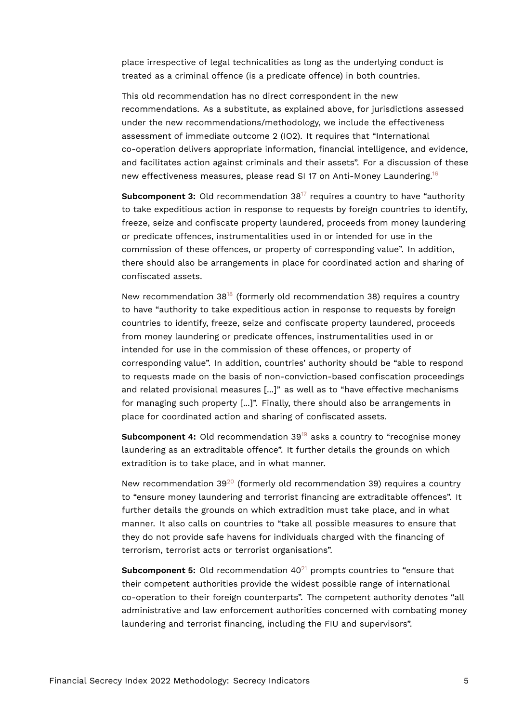place irrespective of legal technicalities as long as the underlying conduct is treated as a criminal offence (is a predicate offence) in both countries.

This old recommendation has no direct correspondent in the new recommendations. As a substitute, as explained above, for jurisdictions assessed under the new recommendations/methodology, we include the effectiveness assessment of immediate outcome 2 (IO2). It requires that "International co-operation delivers appropriate information, financial intelligence, and evidence, and facilitates action against criminals and their assets". For a discussion of these new effectiveness measures, please read SI 17 on Anti-Money Laundering.[16](#page-16-4)

<span id="page-4-1"></span><span id="page-4-0"></span>**Subcomponent 3:** Old recommendation 38<sup>[17](#page-16-5)</sup> requires a country to have "authority to take expeditious action in response to requests by foreign countries to identify, freeze, seize and confiscate property laundered, proceeds from money laundering or predicate offences, instrumentalities used in or intended for use in the commission of these offences, or property of corresponding value". In addition, there should also be arrangements in place for coordinated action and sharing of confiscated assets.

<span id="page-4-2"></span>New recommendation  $38^{18}$  $38^{18}$  $38^{18}$  (formerly old recommendation 38) requires a country to have "authority to take expeditious action in response to requests by foreign countries to identify, freeze, seize and confiscate property laundered, proceeds from money laundering or predicate offences, instrumentalities used in or intended for use in the commission of these offences, or property of corresponding value". In addition, countries' authority should be "able to respond to requests made on the basis of non-conviction-based confiscation proceedings and related provisional measures [...]" as well as to "have effective mechanisms for managing such property [...]". Finally, there should also be arrangements in place for coordinated action and sharing of confiscated assets.

<span id="page-4-3"></span>**Subcomponent 4:** Old recommendation 39<sup>[19](#page-16-7)</sup> asks a country to "recognise money laundering as an extraditable offence". It further details the grounds on which extradition is to take place, and in what manner.

<span id="page-4-4"></span>New recommendation  $39^{20}$  $39^{20}$  $39^{20}$  (formerly old recommendation 39) requires a country to "ensure money laundering and terrorist financing are extraditable offences". It further details the grounds on which extradition must take place, and in what manner. It also calls on countries to "take all possible measures to ensure that they do not provide safe havens for individuals charged with the financing of terrorism, terrorist acts or terrorist organisations".

<span id="page-4-5"></span>**Subcomponent 5:** Old recommendation 40<sup>[21](#page-16-9)</sup> prompts countries to "ensure that their competent authorities provide the widest possible range of international co-operation to their foreign counterparts". The competent authority denotes "all administrative and law enforcement authorities concerned with combating money laundering and terrorist financing, including the FIU and supervisors".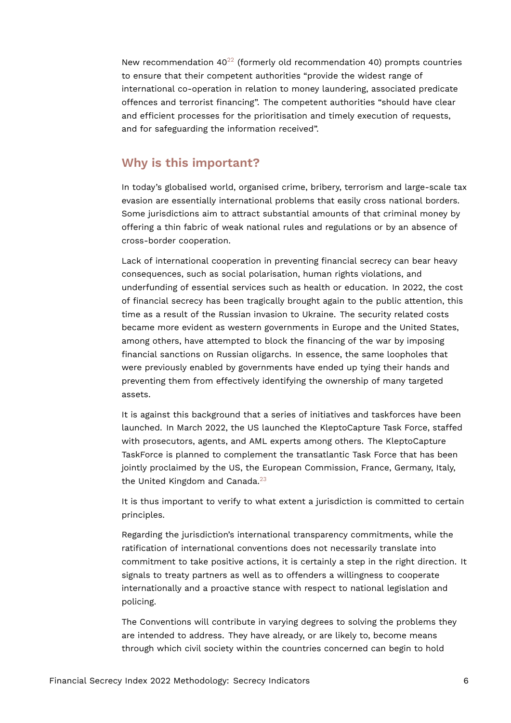<span id="page-5-0"></span>New recommendation  $40^{22}$  $40^{22}$  $40^{22}$  (formerly old recommendation 40) prompts countries to ensure that their competent authorities "provide the widest range of international co-operation in relation to money laundering, associated predicate offences and terrorist financing". The competent authorities "should have clear and efficient processes for the prioritisation and timely execution of requests, and for safeguarding the information received".

#### **Why is this important?**

In today's globalised world, organised crime, bribery, terrorism and large-scale tax evasion are essentially international problems that easily cross national borders. Some jurisdictions aim to attract substantial amounts of that criminal money by offering a thin fabric of weak national rules and regulations or by an absence of cross-border cooperation.

Lack of international cooperation in preventing financial secrecy can bear heavy consequences, such as social polarisation, human rights violations, and underfunding of essential services such as health or education. In 2022, the cost of financial secrecy has been tragically brought again to the public attention, this time as a result of the Russian invasion to Ukraine. The security related costs became more evident as western governments in Europe and the United States, among others, have attempted to block the financing of the war by imposing financial sanctions on Russian oligarchs. In essence, the same loopholes that were previously enabled by governments have ended up tying their hands and preventing them from effectively identifying the ownership of many targeted assets.

It is against this background that a series of initiatives and taskforces have been launched. In March 2022, the US launched the KleptoCapture Task Force, staffed with prosecutors, agents, and AML experts among others. The KleptoCapture TaskForce is planned to complement the transatlantic Task Force that has been jointly proclaimed by the US, the European Commission, France, Germany, Italy, the United Kingdom and Canada.<sup>[23](#page-16-11)</sup>

<span id="page-5-1"></span>It is thus important to verify to what extent a jurisdiction is committed to certain principles.

Regarding the jurisdiction's international transparency commitments, while the ratification of international conventions does not necessarily translate into commitment to take positive actions, it is certainly a step in the right direction. It signals to treaty partners as well as to offenders a willingness to cooperate internationally and a proactive stance with respect to national legislation and policing.

The Conventions will contribute in varying degrees to solving the problems they are intended to address. They have already, or are likely to, become means through which civil society within the countries concerned can begin to hold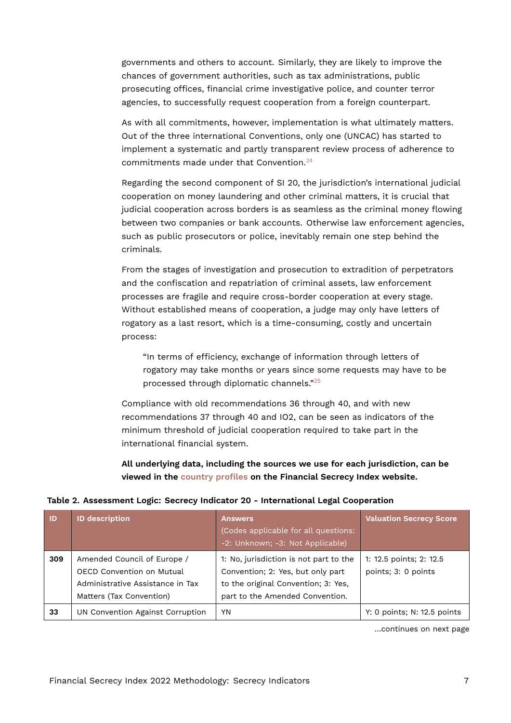governments and others to account. Similarly, they are likely to improve the chances of government authorities, such as tax administrations, public prosecuting offices, financial crime investigative police, and counter terror agencies, to successfully request cooperation from a foreign counterpart.

As with all commitments, however, implementation is what ultimately matters. Out of the three international Conventions, only one (UNCAC) has started to implement a systematic and partly transparent review process of adherence to commitments made under that Convention.[24](#page-16-12)

<span id="page-6-1"></span>Regarding the second component of SI 20, the jurisdiction's international judicial cooperation on money laundering and other criminal matters, it is crucial that judicial cooperation across borders is as seamless as the criminal money flowing between two companies or bank accounts. Otherwise law enforcement agencies, such as public prosecutors or police, inevitably remain one step behind the criminals.

From the stages of investigation and prosecution to extradition of perpetrators and the confiscation and repatriation of criminal assets, law enforcement processes are fragile and require cross-border cooperation at every stage. Without established means of cooperation, a judge may only have letters of rogatory as a last resort, which is a time-consuming, costly and uncertain process:

<span id="page-6-2"></span>"In terms of efficiency, exchange of information through letters of rogatory may take months or years since some requests may have to be processed through diplomatic channels."[25](#page-16-13)

Compliance with old recommendations 36 through 40, and with new recommendations 37 through 40 and IO2, can be seen as indicators of the minimum threshold of judicial cooperation required to take part in the international financial system.

<span id="page-6-0"></span>**All underlying data, including the sources we use for each jurisdiction, can be viewed in the [country profiles](https://fsi.taxjustice.net/country-detail) on the Financial Secrecy Index website.**

| <b>ID</b> | <b>ID description</b>                                                                                                    | <b>Answers</b><br>(Codes applicable for all questions:<br>-2: Unknown; -3: Not Applicable)                                                            | <b>Valuation Secrecy Score</b>                 |
|-----------|--------------------------------------------------------------------------------------------------------------------------|-------------------------------------------------------------------------------------------------------------------------------------------------------|------------------------------------------------|
| 309       | Amended Council of Europe /<br>OECD Convention on Mutual<br>Administrative Assistance in Tax<br>Matters (Tax Convention) | 1: No, jurisdiction is not part to the<br>Convention; 2: Yes, but only part<br>to the original Convention; 3: Yes,<br>part to the Amended Convention. | 1: 12.5 points; 2: 12.5<br>points; 3: 0 points |
| 33        | UN Convention Against Corruption                                                                                         | YN                                                                                                                                                    | Y: 0 points; N: 12.5 points                    |

…continues on next page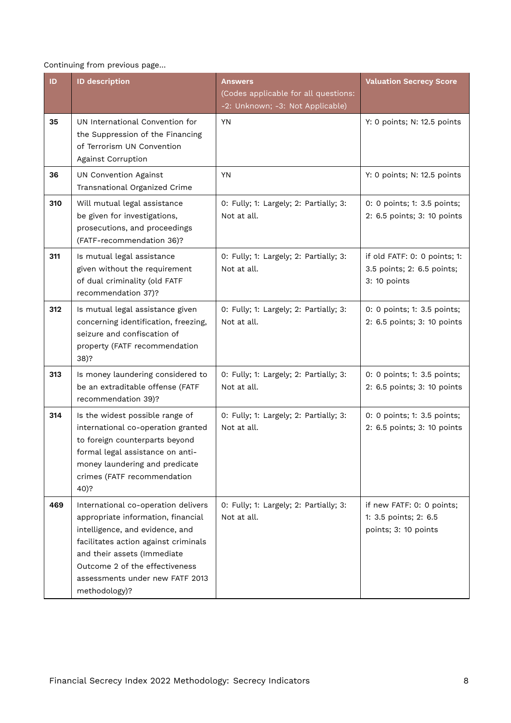Continuing from previous page…

| ID  | <b>ID description</b>                                                                                                                                                                                                                                                     | Answers                                                                  | <b>Valuation Secrecy Score</b>                                             |
|-----|---------------------------------------------------------------------------------------------------------------------------------------------------------------------------------------------------------------------------------------------------------------------------|--------------------------------------------------------------------------|----------------------------------------------------------------------------|
|     |                                                                                                                                                                                                                                                                           | (Codes applicable for all questions:<br>-2: Unknown; -3: Not Applicable) |                                                                            |
| 35  | UN International Convention for<br>the Suppression of the Financing<br>of Terrorism UN Convention<br>Against Corruption                                                                                                                                                   | <b>YN</b>                                                                | Y: 0 points; N: 12.5 points                                                |
| 36  | <b>UN Convention Against</b><br>Transnational Organized Crime                                                                                                                                                                                                             | <b>YN</b>                                                                | Y: 0 points; N: 12.5 points                                                |
| 310 | Will mutual legal assistance<br>be given for investigations,<br>prosecutions, and proceedings<br>(FATF-recommendation 36)?                                                                                                                                                | 0: Fully; 1: Largely; 2: Partially; 3:<br>Not at all.                    | 0: 0 points; 1: 3.5 points;<br>2: 6.5 points; 3: 10 points                 |
| 311 | Is mutual legal assistance<br>given without the requirement<br>of dual criminality (old FATF<br>recommendation 37)?                                                                                                                                                       | 0: Fully; 1: Largely; 2: Partially; 3:<br>Not at all.                    | if old FATF: 0: 0 points; 1:<br>3.5 points; 2: 6.5 points;<br>3: 10 points |
| 312 | Is mutual legal assistance given<br>concerning identification, freezing,<br>seizure and confiscation of<br>property (FATF recommendation<br>$38)$ ?                                                                                                                       | 0: Fully; 1: Largely; 2: Partially; 3:<br>Not at all.                    | 0: 0 points; 1: 3.5 points;<br>2: 6.5 points; 3: 10 points                 |
| 313 | Is money laundering considered to<br>be an extraditable offense (FATF<br>recommendation 39)?                                                                                                                                                                              | 0: Fully; 1: Largely; 2: Partially; 3:<br>Not at all.                    | 0: 0 points; 1: 3.5 points;<br>2: 6.5 points; 3: 10 points                 |
| 314 | Is the widest possible range of<br>international co-operation granted<br>to foreign counterparts beyond<br>formal legal assistance on anti-<br>money laundering and predicate<br>crimes (FATF recommendation<br>40)?                                                      | 0: Fully; 1: Largely; 2: Partially; 3:<br>Not at all.                    | 0: 0 points; 1: 3.5 points;<br>2: 6.5 points; 3: 10 points                 |
| 469 | International co-operation delivers<br>appropriate information, financial<br>intelligence, and evidence, and<br>facilitates action against criminals<br>and their assets (Immediate<br>Outcome 2 of the effectiveness<br>assessments under new FATF 2013<br>methodology)? | 0: Fully; 1: Largely; 2: Partially; 3:<br>Not at all.                    | if new FATF: 0: 0 points;<br>1: 3.5 points; 2: 6.5<br>points; 3: 10 points |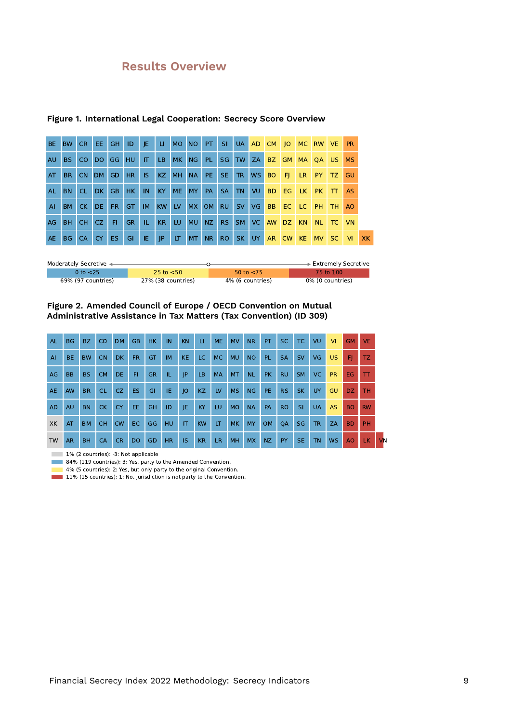### **Results Overview**

| BE.          | BW        | CR.       | EE.            | GH.       | ID             | JE.       | U.        | MO NO     |           | PT.       | -SI.            | UA        | AD. | CM        | O         | MC.       | <b>RW</b> | VE. | <b>PR</b> |    |
|--------------|-----------|-----------|----------------|-----------|----------------|-----------|-----------|-----------|-----------|-----------|-----------------|-----------|-----|-----------|-----------|-----------|-----------|-----|-----------|----|
| <b>AU</b>    | BS.       | CO.       | DO.            | GG        | HU.            | IT.       | LB.       | MK        | <b>NG</b> | PL        | <b>SG</b>       | TW        | ZA  | BZ        | <b>GM</b> | <b>MA</b> | <b>OA</b> | US. | <b>MS</b> |    |
| AT           | <b>BR</b> | <b>CN</b> | D <sub>M</sub> | <b>GD</b> | H <sub>R</sub> | <b>IS</b> | KZ.       | <b>MH</b> | <b>NA</b> | PE.       | SE.             | TR.       | WS  | BO.       | <b>F</b>  | LR.       | <b>PY</b> | TZ. | GU        |    |
| <b>AL</b>    | <b>BN</b> | CL.       | DK.            | <b>GB</b> | HK.            | IN        | KY.       | <b>ME</b> | <b>MY</b> | <b>PA</b> | <b>SA</b>       | <b>TN</b> | VU  | BD.       | <b>EG</b> | LK.       | <b>PK</b> | π   | <b>AS</b> |    |
| $\mathsf{A}$ | BM        | CK DE     |                | FR.       | GT.            | <b>IM</b> | <b>KW</b> | <b>LV</b> |           | MX OM     | <b>RU</b>       | SV        | VG  | <b>BB</b> | EC LC     |           | PH        | TH. | AO        |    |
| AG           | BH.       | <b>CH</b> | CZ.            | FI.       | <b>GR</b>      | TL.       | KR.       | LU        | <b>MU</b> | NZ        | RS.             | SM        | VC. | <b>AW</b> | DZ.       | <b>KN</b> | <b>NL</b> | TC  | <b>VN</b> |    |
| AE.          | BG        | <b>CA</b> | <b>CY</b>      | ES.       | GI             | IE        | P         | LT.       | <b>MT</b> | NR.       | RO <sub>1</sub> | SK.       | UY  |           | AR CW     | KE.       | <b>MV</b> | SC. | <b>VI</b> | XK |
|              |           |           |                |           |                |           |           |           |           |           |                 |           |     |           |           |           |           |     |           |    |

#### **Figure 1. International Legal Cooperation: Secrecy Score Overview**

| Moderately Secretive < |                    |                  | <b>Extremely Secretive</b> |
|------------------------|--------------------|------------------|----------------------------|
| 0 to $<$ 25            | 25 to $< 50$       | 50 to $<$ 75     | 75 to 100                  |
| 69% (97 countries)     | 27% (38 countries) | 4% (6 countries) | 0% (0 countries)           |

#### **Figure 2. Amended Council of Europe / OECD Convention on Mutual Administrative Assistance in Tax Matters (Tax Convention) (ID 309)**

| <b>AL</b> | <b>BG</b> | BZ        | <sub>CO</sub> | <b>DM</b> | <b>GB</b> | HK.       | IN        | <b>KN</b>              | П         | <b>ME</b> | <b>MV</b> | <b>NR</b> | PT.       | <b>SC</b> | TC.       | VU        | <b>VI</b> | <b>GM</b> | <b>VE</b> |
|-----------|-----------|-----------|---------------|-----------|-----------|-----------|-----------|------------------------|-----------|-----------|-----------|-----------|-----------|-----------|-----------|-----------|-----------|-----------|-----------|
| AI        | BE.       | <b>BW</b> | <b>CN</b>     | <b>DK</b> | FR.       | GT        | <b>IM</b> | <b>KE</b>              | LC.       | MC.       | <b>MU</b> | <b>NO</b> | <b>PL</b> | <b>SA</b> | <b>SV</b> | VG.       | <b>US</b> | F)        | TZ.       |
| AG        | <b>BB</b> | <b>BS</b> | <b>CM</b>     | <b>DE</b> | FI.       | <b>GR</b> | IL.       | JP                     | <b>LB</b> | <b>MA</b> | MT.       | <b>NL</b> | <b>PK</b> | <b>RU</b> | <b>SM</b> | VC.       | <b>PR</b> | EG.       | TT        |
| <b>AE</b> | AW.       | <b>BR</b> | <b>CL</b>     | CZ.       | <b>ES</b> | GI        | IE.       | O                      | <b>KZ</b> | LV        | <b>MS</b> | <b>NG</b> | PE.       | <b>RS</b> | <b>SK</b> | <b>UY</b> | <b>GU</b> | DZ.       | <b>TH</b> |
| <b>AD</b> | <b>AU</b> | <b>BN</b> | <b>CK</b>     | <b>CY</b> | EE.       | <b>GH</b> | ID        | JE                     | KY        | LU.       | <b>MO</b> | <b>NA</b> | PA        | <b>RO</b> | <b>SI</b> | <b>UA</b> | <b>AS</b> | <b>BO</b> | <b>RW</b> |
| XK        | AT        | <b>BM</b> | <b>CH</b>     | <b>CW</b> | EC.       | GG        | HU.       | $\mathsf{I}\mathsf{T}$ | <b>KW</b> | LT        | <b>MK</b> | <b>MY</b> | <b>OM</b> | <b>OA</b> | SG        | <b>TR</b> | <b>ZA</b> | <b>BD</b> | PH        |
| <b>TW</b> | <b>AR</b> | <b>BH</b> | CA            | <b>CR</b> | <b>DO</b> | GD        | <b>HR</b> | <b>IS</b>              | <b>KR</b> | <b>LR</b> | MH        | <b>MX</b> | <b>NZ</b> | PY        | <b>SE</b> | <b>TN</b> | <b>WS</b> | AO        | LK        |

1% (2 countries): -3: Not applicable

84% (119 countries): 3: Yes, party to the Amended Convention.

4% (5 countries): 2: Yes, but only party to the original Convention.

11% (15 countries): 1: No, jurisdiction is not party to the Convention.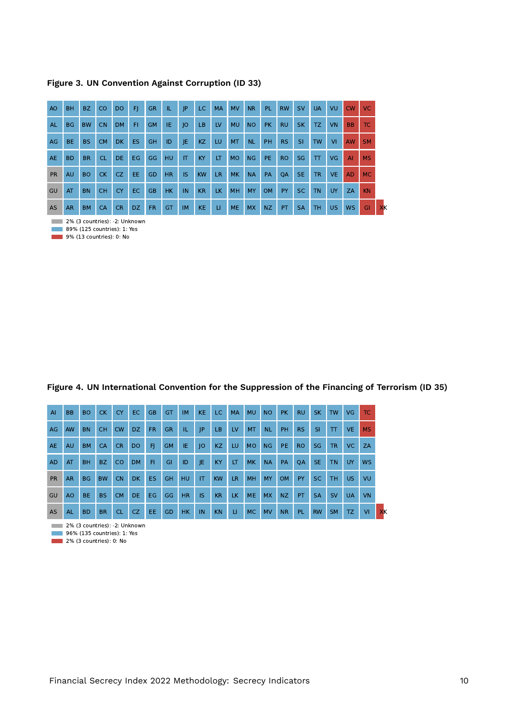| A <sub>O</sub> | <b>BH</b> | BZ        | CO        | <b>DO</b> | F   | <b>GR</b> | IL.       | IP        | LC.       | <b>MA</b> | <b>MV</b> | <b>NR</b> | PL.       | <b>RW</b> | <b>SV</b> | <b>UA</b> | VU        | CW             | <b>VC</b> |  |
|----------------|-----------|-----------|-----------|-----------|-----|-----------|-----------|-----------|-----------|-----------|-----------|-----------|-----------|-----------|-----------|-----------|-----------|----------------|-----------|--|
| <b>AL</b>      | <b>BG</b> | <b>BW</b> | <b>CN</b> | <b>DM</b> | FI. | <b>GM</b> | IE.       | O         | LB        | LV        | <b>MU</b> | <b>NO</b> | <b>PK</b> | <b>RU</b> | <b>SK</b> | TZ.       | <b>VN</b> | B <sub>B</sub> | TC.       |  |
| AG             | BE.       | <b>BS</b> | <b>CM</b> | <b>DK</b> | ES. | <b>GH</b> | ID        | JE        | KZ        | LU        | <b>MT</b> | <b>NL</b> | <b>PH</b> | <b>RS</b> | SI        | <b>TW</b> | <b>VI</b> | <b>AW</b>      | <b>SM</b> |  |
| <b>AE</b>      | <b>BD</b> | <b>BR</b> | <b>CL</b> | DE.       | EG. | GG        | <b>HU</b> | IT        | KY        | LT        | <b>MO</b> | <b>NG</b> | PE.       | <b>RO</b> | <b>SG</b> | $\top$    | <b>VG</b> | AI             | <b>MS</b> |  |
| <b>PR</b>      | <b>AU</b> | <b>BO</b> | <b>CK</b> | CZ.       | EE. | GD        | <b>HR</b> | <b>IS</b> | <b>KW</b> | LR.       | <b>MK</b> | <b>NA</b> | <b>PA</b> | QA        | <b>SE</b> | <b>TR</b> | <b>VE</b> | <b>AD</b>      | <b>MC</b> |  |
| GU             | AT        | <b>BN</b> | <b>CH</b> | <b>CY</b> | EC  | <b>GB</b> | <b>HK</b> | IN        | <b>KR</b> | <b>LK</b> | MH        | MY        | <b>OM</b> | PY        | SC.       | <b>TN</b> | <b>UY</b> | ZA             | <b>KN</b> |  |
| <b>AS</b>      | <b>AR</b> | <b>BM</b> | <b>CA</b> | <b>CR</b> | DZ. | <b>FR</b> | GT        | <b>IM</b> | <b>KE</b> | п         | <b>ME</b> | <b>MX</b> | NZ        | PT.       | <b>SA</b> | TH.       | <b>US</b> | <b>WS</b>      | GI        |  |

**2% (3 countries): -2: Unknown** 

89% (125 countries): 1: Yes

9% (13 countries): 0: No

#### **Figure 4. UN International Convention for the Suppression of the Financing of Terrorism (ID 35)**

| $\overline{A}$ | <b>BB</b> | <b>BO</b> | <b>CK</b> | <b>CY</b> | EC.       | <b>GB</b> | GT        | <b>IM</b> | <b>KE</b> | LC.       | <b>MA</b> | <b>MU</b> | <b>NO</b> | <b>PK</b> | <b>RU</b> | <b>SK</b>     | <b>TW</b> | VG.       | TC.       |    |
|----------------|-----------|-----------|-----------|-----------|-----------|-----------|-----------|-----------|-----------|-----------|-----------|-----------|-----------|-----------|-----------|---------------|-----------|-----------|-----------|----|
| AG             | <b>AW</b> | <b>BN</b> | <b>CH</b> | <b>CW</b> | DZ.       | FR.       | <b>GR</b> | TL.       | P         | LB.       | LV        | <b>MT</b> | <b>NL</b> | <b>PH</b> | <b>RS</b> | -SI           | T         | VE.       | <b>MS</b> |    |
| AE             | <b>AU</b> | <b>BM</b> | <b>CA</b> | <b>CR</b> | DO.       | F)        | <b>GM</b> | IE.       | O         | KZ.       | LU        | <b>MO</b> | <b>NG</b> | PE.       | <b>RO</b> | <b>SG</b>     | <b>TR</b> | VC.       | <b>ZA</b> |    |
| <b>AD</b>      | AT        | <b>BH</b> | <b>BZ</b> | <b>CO</b> | <b>DM</b> | FI.       | GI        | ID        | IE.       | <b>KY</b> | LT.       | <b>MK</b> | <b>NA</b> | PA        | <b>OA</b> | <b>SE</b>     | <b>TN</b> | <b>UY</b> | <b>WS</b> |    |
| <b>PR</b>      | AR.       | <b>BG</b> | <b>BW</b> | <b>CN</b> | <b>DK</b> | ES.       | GH        | <b>HU</b> | <b>IT</b> | <b>KW</b> | LR.       | <b>MH</b> | <b>MY</b> | <b>OM</b> | <b>PY</b> | <sub>SC</sub> | <b>TH</b> | US.       | VU        |    |
| GU             | AO        | <b>BE</b> | <b>BS</b> | <b>CM</b> | DE.       | EG.       | GG        | <b>HR</b> | <b>IS</b> | <b>KR</b> | LK.       | <b>ME</b> | <b>MX</b> | NZ.       | PT.       | <b>SA</b>     | <b>SV</b> | <b>UA</b> | <b>VN</b> |    |
| <b>AS</b>      | <b>AL</b> | <b>BD</b> | <b>BR</b> | <b>CL</b> | CZ.       | EE.       | GD        | <b>HK</b> | IN        | <b>KN</b> | LI.       | <b>MC</b> | <b>MV</b> | <b>NR</b> | <b>PL</b> | <b>RW</b>     | <b>SM</b> | TZ.       | <b>VI</b> | XK |

**2% (3 countries): -2: Unknown** 

**96%** (135 countries): 1: Yes

 $2\%$  (3 countries): 0: No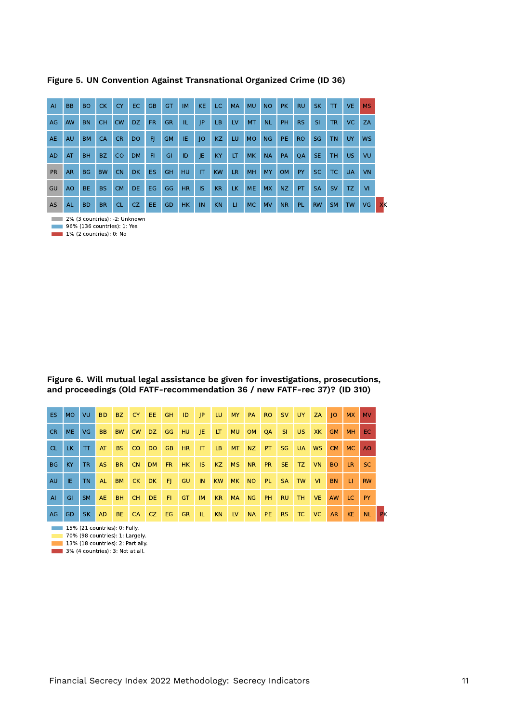| $\overline{A}$ | <b>BB</b> | <b>BO</b> | <b>CK</b> | <b>CY</b> | EC.       | <b>GB</b> | GT        | <b>IM</b> | KE.       | LC.       | <b>MA</b> | <b>MU</b> | <b>NO</b> | <b>PK</b> | <b>RU</b> | <b>SK</b> | $\boldsymbol{\pi}$ | VE.       | <b>MS</b>      |
|----------------|-----------|-----------|-----------|-----------|-----------|-----------|-----------|-----------|-----------|-----------|-----------|-----------|-----------|-----------|-----------|-----------|--------------------|-----------|----------------|
| AG             | AW        | <b>BN</b> | <b>CH</b> | <b>CW</b> | DZ.       | <b>FR</b> | <b>GR</b> | IL.       | P         | LB.       | <b>LV</b> | <b>MT</b> | <b>NL</b> | <b>PH</b> | <b>RS</b> | <b>SI</b> | <b>TR</b>          | VC.       | ZA             |
| <b>AE</b>      | <b>AU</b> | <b>BM</b> | <b>CA</b> | <b>CR</b> | <b>DO</b> | FJ        | <b>GM</b> | IE.       | O         | KZ        | LU.       | <b>MO</b> | NG.       | PE.       | <b>RO</b> | SG        | <b>TN</b>          | <b>UY</b> | W <sub>S</sub> |
| <b>AD</b>      | AT        | <b>BH</b> | <b>BZ</b> | <b>CO</b> | <b>DM</b> | FI.       | GI        | ID        | JE        | <b>KY</b> | LT        | <b>MK</b> | <b>NA</b> | PA        | <b>OA</b> | SE.       | TH.                | US.       | VU             |
| <b>PR</b>      | <b>AR</b> | <b>BG</b> | <b>BW</b> | <b>CN</b> | <b>DK</b> | <b>ES</b> | <b>GH</b> | <b>HU</b> | <b>IT</b> | <b>KW</b> | <b>LR</b> | <b>MH</b> | <b>MY</b> | <b>OM</b> | PY        | <b>SC</b> | <b>TC</b>          | <b>UA</b> | <b>VN</b>      |
| GU             | AO        | <b>BE</b> | <b>BS</b> | <b>CM</b> | DE.       | EG.       | GG        | <b>HR</b> | <b>IS</b> | <b>KR</b> | LK.       | <b>ME</b> | <b>MX</b> | NZ        | PT        | <b>SA</b> | <b>SV</b>          | TZ.       | <b>VI</b>      |
| AS             | <b>AL</b> | <b>BD</b> | <b>BR</b> | <b>CL</b> | CZ.       | EE.       | GD        | HK        | IN        | KN        | U.        | <b>MC</b> | <b>MV</b> | <b>NR</b> | <b>PL</b> | <b>RW</b> | <b>SM</b>          | <b>TW</b> | VG.            |

**Figure 5. UN Convention Against Transnational Organized Crime (ID 36)**

**2% (3 countries): -2: Unknown** 

**196% (136 countries): 1: Yes** 

1% (2 countries): 0: No

**Figure 6. Will mutual legal assistance be given for investigations, prosecutions, and proceedings (Old FATF-recommendation 36 / new FATF-rec 37)? (ID 310)**

| ES.       | MO.  | VU.       | <b>BD</b>      | BZ        | CY.       | "EE»      | GH        | ID             | P   | LU.       | <b>MY</b> | PA        | RO.       | <b>SV</b> | UY .      | ZA        | O         | <b>MX</b> | <b>MV</b> |
|-----------|------|-----------|----------------|-----------|-----------|-----------|-----------|----------------|-----|-----------|-----------|-----------|-----------|-----------|-----------|-----------|-----------|-----------|-----------|
| CR.       | ME.  | VG.       | B <sub>B</sub> | <b>BW</b> | <b>CW</b> | DZ I      | GG        | HU             | JE. | LT.       | <b>MU</b> | <b>OM</b> | QA        | -SI.      | US.       | XK        | <b>GM</b> | <b>MH</b> | EC.       |
| CL.       | LK - | ाप        | AT             | BS.       | CO.       | <b>DO</b> | <b>GB</b> | H <sub>R</sub> | IT  | LB.       | <b>MT</b> | NZ        | PT.       | SG.       | <b>UA</b> | <b>WS</b> | CM.       | MC.       | AO.       |
| <b>BG</b> | KY.  | <b>TR</b> | <b>AS</b>      | <b>BR</b> | <b>CN</b> | DM        | FR.       | HK             | IS. | KZ        | <b>MS</b> | <b>NR</b> | <b>PR</b> | SE.       | TZ.       | VN.       | <b>BO</b> | LR.       | SC.       |
| <b>AU</b> | IE.  | <b>TN</b> | <b>AL</b>      | <b>BM</b> | CK        | DK.       | -FL       | <b>GU</b>      | IN  | <b>KW</b> | MK.       | <b>NO</b> | <b>PL</b> | <b>SA</b> | <b>TW</b> | <b>VI</b> | <b>BN</b> | $\perp$   | <b>RW</b> |
| AI        | GI   | <b>SM</b> | <b>AE</b>      | <b>BH</b> | CH.       | DE.       | FI.       | <b>GT</b>      | IM  | <b>KR</b> | <b>MA</b> | NG        | PH.       | <b>RU</b> | TH.       | <b>VE</b> | <b>AW</b> | LC.       | <b>PY</b> |
| AG        | GD.  | <b>SK</b> | <b>AD</b>      | BE.       | <b>CA</b> | $ $ CZ    | EG        | <b>GR</b>      | TL. | <b>KN</b> | <b>LV</b> | <b>NA</b> | PE.       | <b>RS</b> | TC        | <b>VC</b> | <b>AR</b> | <b>KE</b> | <b>NL</b> |

15% (21 countries): 0: Fully. 70% (98 countries): 1: Largely.  $13%$  (38 countries): 2: Partially.

 $\blacksquare$  3% (4 countries): 3: Not at all.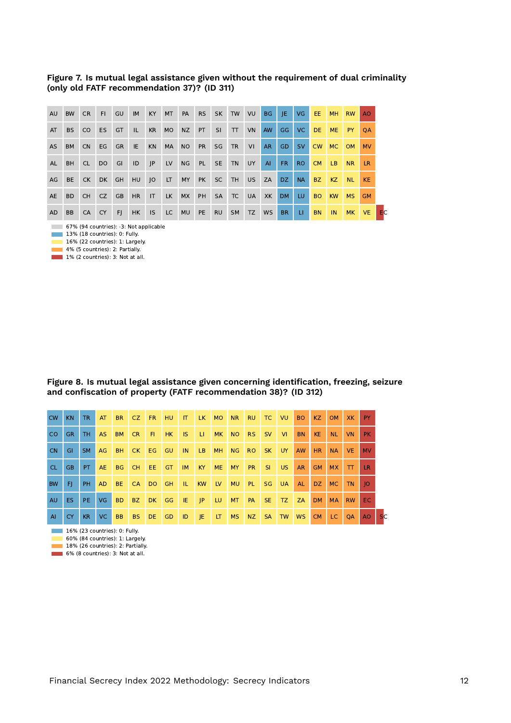#### **Figure 7. Is mutual legal assistance given without the requirement of dual criminality (only old FATF recommendation 37)? (ID 311)**

| AU        | <b>BW</b> | CR.             | FI.       | GU        | <b>IM</b>      | KY I         | <b>MT</b> | PA        | <b>RS</b> | SK I      | <b>TW</b>      | VU        | BG        | - JE -    | VG .      | EE.       | <b>MH</b> | <b>RW</b> | AO.       |
|-----------|-----------|-----------------|-----------|-----------|----------------|--------------|-----------|-----------|-----------|-----------|----------------|-----------|-----------|-----------|-----------|-----------|-----------|-----------|-----------|
| AT        | BS.       | CO <sub>1</sub> | <b>ES</b> | GT        | -ID-           | <b>KR</b>    | <b>MO</b> | <b>NZ</b> | PT.       | SI.       | $\top$         | <b>VN</b> | <b>AW</b> | GG.       | VC.       | DE.       | <b>ME</b> | <b>PY</b> | <b>OA</b> |
| <b>AS</b> | <b>BM</b> | CN              | EG        | <b>GR</b> | IE.            | <b>KN</b>    | MA        | NO        | <b>PR</b> | SG        | <b>TR</b>      | VI        | AR.       | GD.       | <b>SV</b> | <b>CW</b> | MC.       | <b>OM</b> | <b>MV</b> |
| <b>AL</b> | <b>BH</b> | CL.             | <b>DO</b> | GI        | ID             | $\mathsf{J}$ | LV        | <b>NG</b> | <b>PL</b> | <b>SE</b> | TN             | UY        | AI        | FR.       | RO.       | CM.       | LB.       | NR.       | LR.       |
| AG        | <b>BE</b> | CK              | <b>DK</b> | <b>GH</b> | HU             | O            | LT .      | MY        | PK        | <b>SC</b> | TH <sub></sub> | US.       | ZA        | DZ.       | <b>NA</b> | BZ.       | KZ        | <b>NL</b> | <b>KE</b> |
| <b>AE</b> | BD.       | CH.             | CZ        | <b>GB</b> | H <sub>R</sub> | $\mathsf{I}$ | LK        | <b>MX</b> | PH        | <b>SA</b> | TC             | <b>UA</b> | XK        | <b>DM</b> | LU.       | BO.       | <b>KW</b> | MS.       | <b>GM</b> |
| AD        | <b>BB</b> | CA              | <b>CY</b> | - FI      | HK             | IS.          | LC        | <b>MU</b> | PE        | <b>RU</b> | <b>SM</b>      | TZ        | WS        | <b>BR</b> | LI.       | <b>BN</b> | IN.       | MK.       | VE.       |

67% (94 countries): -3: Not applicable

13% (18 countries): 0: Fully.

 $\blacksquare$  16% (22 countries): 1: Largely.  $\blacksquare$  4% (5 countries): 2: Partially.

**1% (2 countries): 3: Not at all.** 

#### **Figure 8. Is mutual legal assistance given concerning identification, freezing, seizure and confiscation of property (FATF recommendation 38)? (ID 312)**

| <b>CW</b>      | KN. | TR              | AT        | <b>BR</b> | CZ.       | <b>FR</b> | HU.       | $\mathsf{I}$ | LK MO       |           | <b>NR</b> | <b>RU</b> | TC        | VU.       | BO.       | KZ             | <b>OM</b> | XK.       | <b>PY</b> |               |
|----------------|-----|-----------------|-----------|-----------|-----------|-----------|-----------|--------------|-------------|-----------|-----------|-----------|-----------|-----------|-----------|----------------|-----------|-----------|-----------|---------------|
| CO.            | GR. | TH.             | AS.       | <b>BM</b> | CR.       | FL.       | HK        | IS.          | -Ш.         | <b>MK</b> | NO        | <b>RS</b> | <b>SV</b> | - VII     | <b>BN</b> | <b>KE</b>      | <b>NL</b> | VN.       | <b>PK</b> |               |
| <b>CN</b>      | GI. | SM.             | AG        | <b>BH</b> | CK        | EG        | <b>GU</b> | IN           | LB          | <b>MH</b> | <b>NG</b> | <b>RO</b> | <b>SK</b> | <b>UY</b> | <b>AW</b> | HR.            | <b>NA</b> | VE.       | <b>MV</b> |               |
| CL.            | GB. | PT <sup>1</sup> | <b>AE</b> | <b>BG</b> | CH        | EE.       | <b>GT</b> | IM.          | <b>KY</b>   | <b>ME</b> | MY        | <b>PR</b> | SI.       | <b>US</b> | <b>AR</b> | <b>GM</b>      | <b>MX</b> | TT        | <b>LR</b> |               |
| <b>BW</b>      | FI. | <b>PH</b>       | AD.       | BE.       | <b>CA</b> | DO GH     |           | -IL.         | KW          | IV        | <b>MU</b> | PL.       | SG.       | <b>UA</b> | <b>AL</b> | DZ             | MC        | TN.       | 10        |               |
| <b>AU</b>      | ES. | PE.             | <b>VG</b> | <b>BD</b> | BZ.       | DK GG     |           | IE.          | $ $ $ $ $ $ | LU.       | MT.       | PA        | SE.       | TZ        | <b>ZA</b> | D <sub>M</sub> | <b>MA</b> | <b>RW</b> | EC.       |               |
| $\overline{A}$ | CY. | KR.             | VC        | <b>BB</b> | <b>BS</b> | DE        | GD        | ID           | - JE        | LT        | MS        | NZ        | <b>SA</b> | TW        | <b>WS</b> | CM             | LC.       | QA        | AO        | <sub>SC</sub> |

**16% (23 countries): 0: Fully.** 

60% (84 countries): 1: Largely.

18% (26 countries): 2: Partially.

**6% (8 countries): 3: Not at all.**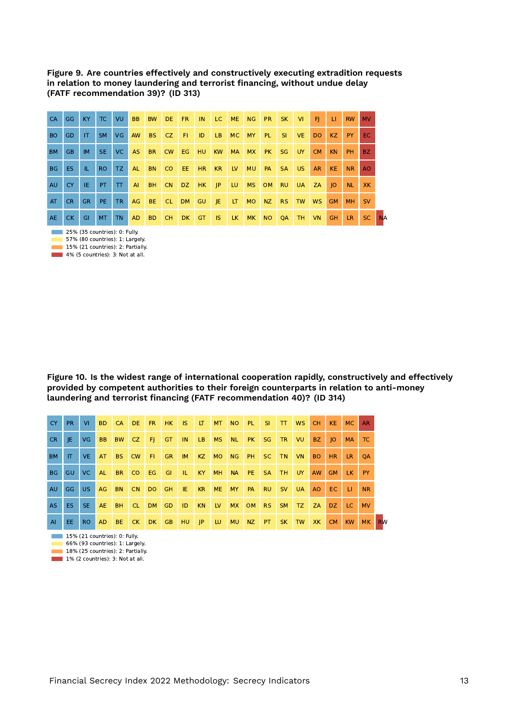**Figure 9. Are countries effectively and constructively executing extradition requests in relation to money laundering and terrorist financing, without undue delay (FATF recommendation 39)? (ID 313)**

| <b>CA</b> | <b>GG</b> | KY           | TC        | VU        | <b>BB</b> | <b>BW</b> | DE.       | FR.  | IN        | LC -         | <b>ME</b> | <b>NG</b> | <b>PR</b> | SK        | VI        | FL.       | -11       | <b>RW</b> | <b>MV</b> |
|-----------|-----------|--------------|-----------|-----------|-----------|-----------|-----------|------|-----------|--------------|-----------|-----------|-----------|-----------|-----------|-----------|-----------|-----------|-----------|
| <b>BO</b> | <b>GD</b> | $\mathsf{I}$ | SM.       | <b>VG</b> | <b>AW</b> | <b>BS</b> | CZ.       | FL.  | ID        | LB.          | <b>MC</b> | MY        | <b>PL</b> | SI.       | VE.       | DO.       | KZ.       | PY.       | EC.       |
| <b>BM</b> | <b>GB</b> | <b>IM</b>    | SE.       | VC.       | <b>AS</b> | <b>BR</b> | <b>CW</b> | EG.  | HU        | <b>KW</b>    | <b>MA</b> | <b>MX</b> | <b>PK</b> | <b>SG</b> | UY.       | <b>CM</b> | <b>KN</b> | <b>PH</b> | BZ.       |
| <b>BG</b> | ES.       | TL.          | RO.       | TZ.       | AL.       | BN CO     |           | EE.  | HR.       | KR.          | <b>LV</b> | <b>MU</b> | <b>PA</b> | <b>SA</b> | US.       | <b>AR</b> | KE.       | <b>NR</b> | AO.       |
| <b>AU</b> | <b>CY</b> | IE.          | PT.       | T         | AI        | BH        | <b>CN</b> | DZ   | HK        | P            | LU.       | <b>MS</b> | OM        | <b>RU</b> | <b>UA</b> | ZA        | IO        | <b>NL</b> | <b>XK</b> |
| AT        | CR.       | <b>GR</b>    | PE.       | <b>TR</b> | AG        | BE CL     |           | DM . | <b>GU</b> | $\mathsf{E}$ | <b>LT</b> | MO        | NZ        | <b>RS</b> | <b>TW</b> | <b>WS</b> | <b>GM</b> | MH.       | <b>SV</b> |
| <b>AE</b> | CK.       | GI           | <b>MT</b> | <b>TN</b> | <b>AD</b> | <b>BD</b> | CH.       | DK.  | <b>GT</b> | IS.          | LK.       | <b>MK</b> | <b>NO</b> | QA        | <b>TH</b> | <b>VN</b> | <b>GH</b> | LR.       | SC.       |

**25% (35 countries): 0: Fully.** 57% (80 countries): 1: Largely.

15% (21 countries): 2: Partially.

4% (5 countries): 3: Not at all.

**Figure 10. Is the widest range of international cooperation rapidly, constructively and effectively provided by competent authorities to their foreign counterparts in relation to anti-money laundering and terrorist financing (FATF recommendation 40)? (ID 314)**

| CY.       | PR.  | $V\Gamma$ | B <sub>D</sub> | CA DE     |       | FR 1  | HK        | <b>IS</b>      | <b>LT</b> | <b>MT</b> | NO PL     |    | -SI       | $\mathbf{T}$ | <b>WS</b> | CH.       | KE.       | MC        | <b>AR</b> |
|-----------|------|-----------|----------------|-----------|-------|-------|-----------|----------------|-----------|-----------|-----------|----|-----------|--------------|-----------|-----------|-----------|-----------|-----------|
| CR.       | IE.  | VG        | <b>BB</b>      | <b>BW</b> | CZ    | - FL  | GT        | IN.            | LB.       | <b>MS</b> | NL        | PK | <b>SG</b> | <b>TR</b>    | VU.       | BZ.       | IO        | <b>MA</b> | TC        |
| BM        | IT.  | VE.       | AT             |           | BS CW | FL.   | <b>GR</b> | IM.            | KZ        | MO.       | NG PH     |    | SC.       | TN           | VN.       | BO.       | HR.       | LR 1      | <b>OA</b> |
| <b>BG</b> | GU.  | VC.       | AL.            | <b>BR</b> | CO.   | EG    | GI.       | $\blacksquare$ | KY        | <b>MH</b> | <b>NA</b> | PE | <b>SA</b> | TH.          | UY.       | <b>AW</b> | <b>GM</b> | LK PY     |           |
| <b>AU</b> | GG - | US.       | AG             | <b>BN</b> | CN.   | DO GH |           | IE.            | <b>KR</b> | <b>ME</b> | <b>MY</b> | PA | <b>RU</b> | <b>SV</b>    | <b>UA</b> | AO.       | EC.       | - LE      | <b>NR</b> |
| AS.       | ES.  | SE.       | <b>AE</b>      | <b>BH</b> | CL.   | DM    | <b>GD</b> | ID             | <b>KN</b> | LV.       | MX        | OM | <b>RS</b> | <b>SM</b>    | TZ.       | ZA        |           | DZ LC     | <b>MV</b> |
| AI        | EE.  | RO.       | AD.            | BE.       | CK    | DK    | GB        | <b>HU</b>      | P         | LU.       | <b>MU</b> | NZ | PT.       | <b>SK</b>    | TW        | XK.       | CM        | <b>KW</b> | <b>MK</b> |

 $15%$  (21 countries): 0: Fully.

66% (93 countries): 1: Largely.

18% (25 countries): 2: Partially.

1% (2 countries): 3: Not at all.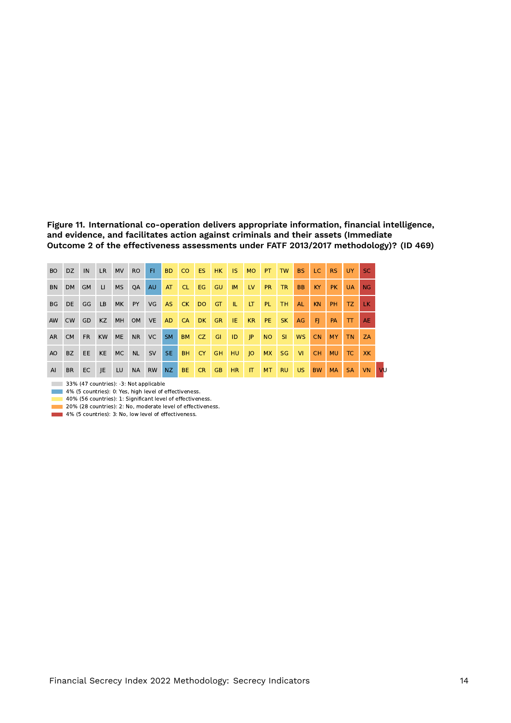**Figure 11. International co-operation delivers appropriate information, financial intelligence, and evidence, and facilitates action against criminals and their assets (Immediate Outcome 2 of the effectiveness assessments under FATF 2013/2017 methodology)? (ID 469)**

| BO.  | DZ.       | IN        | LR.       | <b>MV</b> | <b>RO</b> | FL.       | BD.       | <b>CO</b>           | ES. | HK -      | IS.       | <b>MO</b>    | PT.       | <b>TW</b> | <b>BS</b> | LC.       | <b>RS</b> | UY .      | SC.       |
|------|-----------|-----------|-----------|-----------|-----------|-----------|-----------|---------------------|-----|-----------|-----------|--------------|-----------|-----------|-----------|-----------|-----------|-----------|-----------|
| BN.  | DM .      | <b>GM</b> | $\Box$    | <b>MS</b> | <b>OA</b> | <b>AU</b> | AT        | <b>CL7</b>          | EG  | <b>GU</b> | IM        | <b>LV</b>    | <b>PR</b> | <b>TR</b> | <b>BB</b> | KY        | <b>PK</b> | <b>UA</b> | NG        |
| BG   | DE GG     |           | LB        | <b>MK</b> |           | PY VG     | AS        | $CK$ DO $\parallel$ |     | GT.       | TL.       | LT.          | PL.       | TH.       | <b>AL</b> | <b>KN</b> | PH.       | TZ.       | LK.       |
| AW.  | <b>CW</b> | GD        | <b>KZ</b> | <b>MH</b> | <b>OM</b> | VE 1      | AD.       | <b>CA</b>           | DK  | GR.       | <b>IE</b> | KR           | PE.       | <b>SK</b> | AG        | F         | <b>PA</b> | TTI       | <b>AE</b> |
| AR - | <b>CM</b> | <b>FR</b> | <b>KW</b> | <b>ME</b> | <b>NR</b> | VC .      | <b>SM</b> | <b>BM</b>           | CZ  | GI.       | D         | $ $ $ $ $ $  | NO        | SI.       | <b>WS</b> | <b>CN</b> | MY        | <b>TN</b> | ZA        |
| AO.  | BZ        | EE.       | <b>KE</b> | MC        | <b>NL</b> | SV        | SE.       | <b>BH</b>           | CY  | <b>GH</b> | HU 10     |              | <b>MX</b> | SG.       | <b>VI</b> | CH.       | <b>MU</b> | TC.       | XK.       |
| AI   | <b>BR</b> | EC        | JE        | LU        | <b>NA</b> | <b>RW</b> | NZ        | BE.                 | CR. | <b>GB</b> | HR.       | $\mathsf{I}$ | MT.       | <b>RU</b> | US.       | <b>BW</b> | <b>MA</b> | <b>SA</b> | <b>VN</b> |

33% (47 countries): -3: Not applicable

4% (5 countries): 0: Yes, high level of effectiveness.

40% (56 countries): 1: Significant level of effectiveness.

20% (28 countries): 2: No, moderate level of effectiveness.

4% (5 countries): 3: No, low level of effectiveness.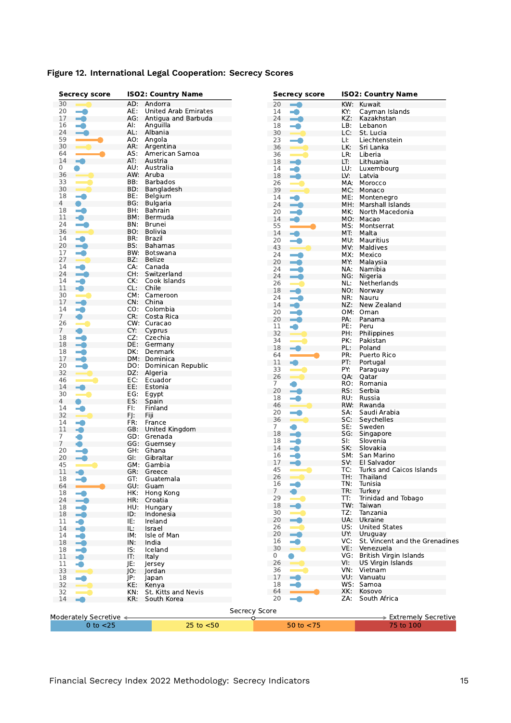| <b>Secrecy score</b>           |     | <b>ISO2: Country Name</b>   |                      | <b>Secrecy score</b>     |     | <b>ISO2: Country Name</b>          |
|--------------------------------|-----|-----------------------------|----------------------|--------------------------|-----|------------------------------------|
| 30                             | AD: | Andorra                     | 20                   |                          | KW: | Kuwait                             |
| 20<br>m.                       | AE: | <b>United Arab Emirates</b> | 14                   | -0                       | KY: | Cayman Islands                     |
| 17<br>-0                       |     | AG: Antigua and Barbuda     | 24                   | $\overline{\phantom{a}}$ | KZ: | Kazakhstan                         |
| 16<br>-0                       | AI: | Anguilla                    | 18                   | $\blacksquare$           | LB: | Lebanon                            |
| 24<br>$\rightarrow$            | AL: | Albania                     | 30                   |                          | LC: | St. Lucia                          |
| 59                             |     | AO: Angola                  | 23                   |                          | LI: | Liechtenstein                      |
| 30                             | AR: | Argentina                   | 36                   |                          | LK: | Sri Lanka                          |
| 64                             | AS: | American Samoa              | 36                   |                          | LR: | Liberia                            |
| 14<br>×.                       | AT: | Austria                     | 18                   | $-1$                     | LT: | Lithuania                          |
| 0                              |     | AU: Australia               | 14                   | -0                       | LU: | Luxembourg                         |
| 36                             |     | AW: Aruba                   | 18                   | -a                       | LV: | Latvia                             |
| 33                             | BB: | <b>Barbados</b>             | 26                   |                          | MA: | Morocco                            |
| 30                             | BD: | Bangladesh                  | 39                   |                          | MC: | Monaco                             |
| 18<br>$\equiv$                 | BE: | Belgium                     | 14                   |                          | ME: | Montenegro                         |
| 4<br>$\bullet$                 | BG: | Bulgaria                    | 24                   | $\overline{\phantom{a}}$ | MH: | Marshall Islands                   |
| 18<br>- 0                      | BH. | <b>Bahrain</b>              | 20                   | -0                       | MK: | North Macedonia                    |
| 11<br>4                        | BM: | Bermuda                     | 14                   |                          |     | MO: Macao                          |
| 24<br>- 1                      | BN: | Brunei                      |                      |                          |     |                                    |
| 36                             | BO. | Bolivia                     | 55                   |                          | MS: | Montserrat                         |
| 14                             | BR: | Brazil                      | 14                   | -A                       | MT. | Malta                              |
| $\rightarrow$                  | BS: | <b>Bahamas</b>              | 20                   | $\blacksquare$           | MU: | Mauritius                          |
| 20                             |     |                             | 43                   |                          | MV: | Maldives                           |
| 17<br>-0                       | BW: | Botswana                    | 24                   |                          | MX: | Mexico                             |
| 27                             | BZ: | Belize                      | 20                   | $\blacksquare$           | MY: | Malaysia                           |
| 14<br>m i                      | CA: | Canada                      | 24                   | <u>e de la p</u>         | NA: | Namibia                            |
| 24<br><u>e d</u>               | CH: | Switzerland                 | 24                   | $\sim$                   | NG. | Nigeria                            |
| 14<br>$\blacksquare$           | CK: | Cook Islands                | 26                   |                          | NL: | Netherlands                        |
| 11<br>÷                        | CL: | Chile                       | 18                   | -â                       | NO: | Norway                             |
| 30<br>$\rightarrow$            |     | CM: Cameroon                | 24                   | <u> este</u>             | NR: | Nauru                              |
| 17<br>$\overline{\phantom{a}}$ | CN: | China                       | 14                   | -0                       | NZ: | New Zealand                        |
| 14<br>-0                       |     | CO: Colombia                | 20                   | m.                       |     | OM: Oman                           |
| 7<br>●                         | CR: | Costa Rica                  | 20                   |                          |     |                                    |
| 26<br>$\overline{\phantom{a}}$ |     | CW: Curacao                 |                      | $\overline{\phantom{a}}$ | PA: | Panama                             |
| 7<br>O                         | CY: | Cyprus                      | 11                   |                          | PE: | Peru                               |
| 18<br>-0                       | CZ: | Czechia                     | 32                   |                          | PH: | Philippines                        |
| 18<br>-a                       | DE: | Germany                     | 34                   |                          | PK: | Pakistan                           |
| 18<br>-a                       | DK: | Denmark                     | 18                   |                          | PL: | Poland                             |
|                                | DM: |                             | 64                   |                          | PR: | Puerto Rico                        |
| 17<br>-0                       |     | Dominica                    | 11                   |                          | PT: | Portugal                           |
| 20<br>$\blacksquare$           | DO: | Dominican Republic          | 33                   |                          | PY: | Paraguay                           |
| 32                             | DZ: | Algeria                     | 26                   |                          | QA: | Qatar                              |
| 46                             | EC: | Ecuador                     | 7                    |                          | RO. | Romania                            |
| 14<br>- 1                      | EE: | Estonia                     | 20                   | =0                       | RS: | Serbia                             |
| 30                             | EG: | Egypt                       | 18                   |                          | RU: | Russia                             |
| 4                              | ES: | Spain                       | 46                   |                          | RW: | Rwanda                             |
| 14<br>z.                       | FI: | Finland                     | 20                   |                          | SA. | Saudi Arabia                       |
| 32                             | FJ: | Fiji                        | 36                   |                          | SC: |                                    |
| 14<br>×.                       | FR: | France                      |                      |                          |     | Seychelles                         |
| 11<br>÷                        |     | GB: United Kingdom          | 7                    |                          | SE: | Sweden                             |
| 7                              | GD: | Grenada                     | 18                   | <u>e d</u>               | SG: | Singapore                          |
| 7                              |     | GG: Guernsey                | 18                   | -0                       | SI: | Slovenia                           |
| 20<br><b>Service</b>           |     | GH: Ghana                   | 14                   | -0                       | SK: | Slovakia                           |
| 20<br>-4                       | GI. | Gibraltar                   | 16                   | -4                       | SM: | San Marino                         |
| 45                             |     | GM: Gambia                  | 17                   | ٢Ō                       | SV: | El Salvador                        |
| 11<br>a s                      |     | GR: Greece                  | 45                   |                          |     | TC: Turks and Caicos Islands       |
| 18<br>-0                       | GT: | Guatemala                   | 26                   |                          | TH: | Thailand                           |
| 64                             | GU: | Guam                        | 16                   |                          | TN: | Tunisia                            |
| 18                             | HK: | Hong Kong                   | $\overline{7}$       |                          | TR: | Turkey                             |
| - 1                            |     |                             | 29                   |                          | TT: | Trinidad and Tobago                |
| 24<br>$\overline{\phantom{a}}$ | HR: | Croatia                     | 18                   |                          |     | TW: Taiwan                         |
| 18<br>-0                       | HU. | Hungary                     | 30                   |                          | TZ: | Tanzania                           |
| 18<br>$\blacksquare$           | ID: | Indonesia                   | 20                   | $\equiv$                 | UA: | Ukraine                            |
| 11<br>-0                       | IE: | Ireland                     |                      |                          |     |                                    |
| 14<br>-0                       | IL: | Israel                      | 26                   | $\blacksquare$           | US: | <b>United States</b>               |
| 14<br>$\blacksquare$           | IM: | Isle of Man                 | 20                   | $\rightarrow$            | UY: | Uruguay                            |
| 18<br>-a                       | IN: | India                       | 16                   | -0                       |     | VC: St. Vincent and the Grenadines |
| 18<br>-0                       | IS: | Iceland                     | 30                   |                          | VE: | Venezuela                          |
| 11<br>$\bullet$                | IT: | Italy                       | 0                    |                          |     | VG: British Virgin Islands         |
| 11<br>-0                       | JE: | lersev                      | 26                   |                          | VI: | US Virgin Islands                  |
| 33<br><b>Contract</b>          | JO: | Jordan                      | 36                   |                          |     | VN: Vietnam                        |
| 18                             | JP: | Japan                       | 17                   | m.                       |     | VU: Vanuatu                        |
| 32                             | KE: | Kenya                       | 18                   | -0                       |     | WS: Samoa                          |
| 32                             | KN: | St. Kitts and Nevis         | 64                   |                          | XK: | Kosovo                             |
|                                |     |                             | 20                   |                          | ZA: | South Africa                       |
| 14                             | KR: | South Korea                 |                      |                          |     |                                    |
|                                |     |                             | <b>Secrecy Score</b> |                          |     |                                    |
|                                |     |                             |                      |                          |     |                                    |
| Moderately Secretive <         |     |                             |                      |                          |     | > Extremely Secretive              |

#### **Figure 12. International Legal Cooperation: Secrecy Scores**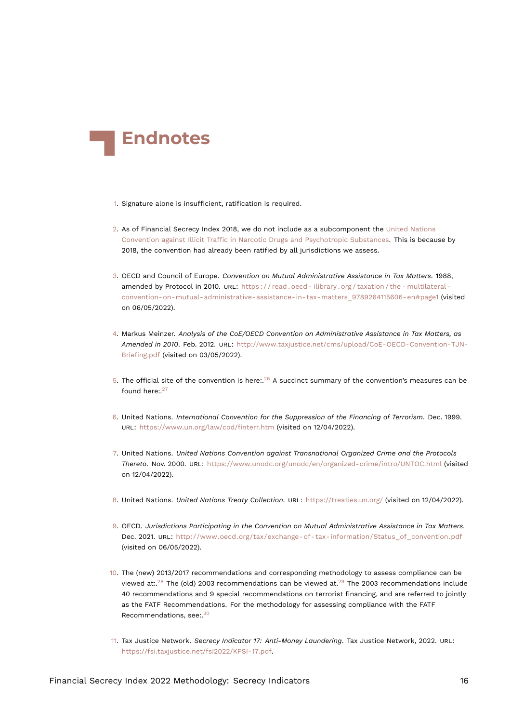<span id="page-15-17"></span>

- <span id="page-15-0"></span>[1.](#page-0-0) Signature alone is insufficient, ratification is required.
- <span id="page-15-1"></span>[2.](#page-0-1) As of Financial Secrecy Index 2018, we do not include as a subcomponent the [United Nations](https://www.unodc.org/unodc/en/treaties/illicit-trafficking.html) [Convention against Illicit Traffic in Narcotic Drugs and Psychotropic Substances](https://www.unodc.org/unodc/en/treaties/illicit-trafficking.html). This is because by 2018, the convention had already been ratified by all jurisdictions we assess.
- <span id="page-15-2"></span>[3.](#page-0-2) OECD and Council of Europe. *Convention on Mutual Administrative Assistance in Tax Matters*. 1988, amended by Protocol in 2010. URL: https://read.oecd - ilibrary.org/taxation/the - multilateral [convention-on-mutual-administrative-assistance-in-tax-matters\\_9789264115606-en#page1](https://read.oecd-ilibrary.org/taxation/the-multilateral-convention-on-mutual-administrative-assistance-in-tax-matters_9789264115606-en#page1) (visited on 06/05/2022).
- <span id="page-15-3"></span>[4.](#page-1-1) Markus Meinzer. *Analysis of the CoE/OECD Convention on Administrative Assistance in Tax Matters, as Amended in 2010*. Feb. 2012. URL: [http://www.taxjustice.net/cms/upload/CoE-OECD-Convention-TJN-](http://www.taxjustice.net/cms/upload/CoE-OECD-Convention-TJN-Briefing.pdf)[Briefing.pdf](http://www.taxjustice.net/cms/upload/CoE-OECD-Convention-TJN-Briefing.pdf) (visited on 03/05/2022).
- <span id="page-15-13"></span><span id="page-15-12"></span><span id="page-15-4"></span>[5.](#page-1-2) The official site of the convention is here:. $^{26}$  $^{26}$  $^{26}$  A succinct summary of the convention's measures can be found here:  $27$
- <span id="page-15-5"></span>[6.](#page-2-0) United Nations. *International Convention for the Suppression of the Financing of Terrorism*. Dec. 1999. URL: <https://www.un.org/law/cod/finterr.htm> (visited on 12/04/2022).
- <span id="page-15-6"></span>[7.](#page-2-1) United Nations. *United Nations Convention against Transnational Organized Crime and the Protocols Thereto*. Nov. 2000. URL: <https://www.unodc.org/unodc/en/organized-crime/intro/UNTOC.html> (visited on 12/04/2022).
- <span id="page-15-7"></span>[8.](#page-2-2) United Nations. *United Nations Treaty Collection*. URL: <https://treaties.un.org/> (visited on 12/04/2022).
- <span id="page-15-8"></span>[9.](#page-2-3) OECD. *Jurisdictions Participating in the Convention on Mutual Administrative Assistance in Tax Matters*. Dec. 2021. URL: [http://www.oecd.org/tax/exchange-of-tax-information/Status\\_of\\_convention.pdf](http://www.oecd.org/tax/exchange-of-tax-information/Status_of_convention.pdf) (visited on 06/05/2022).
- <span id="page-15-15"></span><span id="page-15-14"></span><span id="page-15-9"></span>[10.](#page-2-4) The (new) 2013/2017 recommendations and corresponding methodology to assess compliance can be viewed at:.<sup>[28](#page-17-1)</sup> The (old) 2003 recommendations can be viewed at.<sup>[29](#page-17-2)</sup> The 2003 recommendations include 40 recommendations and 9 special recommendations on terrorist financing, and are referred to jointly as the FATF Recommendations. For the methodology for assessing compliance with the FATF Recommendations, see:.[30](#page-17-3)
- <span id="page-15-16"></span><span id="page-15-11"></span><span id="page-15-10"></span>[11.](#page-2-5) Tax Justice Network. *Secrecy Indicator 17: Anti-Money Laundering*. Tax Justice Network, 2022. URL: [https://fsi.taxjustice.net/fsi2022/KFSI-17.pdf.](https://fsi.taxjustice.net/fsi2022/KFSI-17.pdf)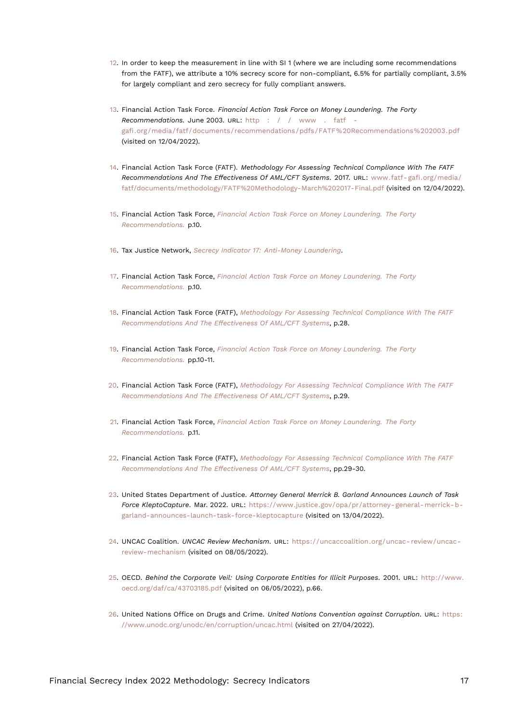- <span id="page-16-17"></span><span id="page-16-0"></span>[12.](#page-3-0) In order to keep the measurement in line with SI 1 (where we are including some recommendations from the FATF), we attribute a 10% secrecy score for non-compliant, 6.5% for partially compliant, 3.5% for largely compliant and zero secrecy for fully compliant answers.
- <span id="page-16-15"></span><span id="page-16-1"></span>[13.](#page-3-1) Financial Action Task Force. *Financial Action Task Force on Money Laundering. The Forty Recommendations.* June 2003. URL: [http : / / www . fatf](http://www.fatf-gafi.org/media/fatf/documents/recommendations/pdfs/FATF%20Recommendations%202003.pdf)  [gafi.org/media/fatf/documents/recommendations/pdfs/FATF%20Recommendations%202003.pdf](http://www.fatf-gafi.org/media/fatf/documents/recommendations/pdfs/FATF%20Recommendations%202003.pdf) (visited on 12/04/2022).
- <span id="page-16-16"></span><span id="page-16-2"></span>[14.](#page-3-2) Financial Action Task Force (FATF). *Methodology For Assessing Technical Compliance With The FATF Recommendations And The Effectiveness Of AML/CFT Systems*. 2017. URL: [www.fatf- gafi.org/media/](www.fatf-gafi.org/media/fatf/documents/methodology/FATF%20Methodology-March%202017-Final.pdf) [fatf/documents/methodology/FATF%20Methodology-March%202017-Final.pdf](www.fatf-gafi.org/media/fatf/documents/methodology/FATF%20Methodology-March%202017-Final.pdf) (visited on 12/04/2022).
- <span id="page-16-3"></span>[15.](#page-3-3) Financial Action Task Force, *[Financial Action Task Force on Money Laundering. The Forty](#page-16-15) [Recommendations.](#page-16-15)* p.10.
- <span id="page-16-4"></span>[16.](#page-4-0) Tax Justice Network, *[Secrecy Indicator 17: Anti-Money Laundering](#page-15-11)*.
- <span id="page-16-5"></span>[17.](#page-4-1) Financial Action Task Force, *[Financial Action Task Force on Money Laundering. The Forty](#page-16-15) [Recommendations.](#page-16-15)* p.10.
- <span id="page-16-6"></span>[18.](#page-4-2) Financial Action Task Force (FATF), *[Methodology For Assessing Technical Compliance With The FATF](#page-16-16) [Recommendations And The Effectiveness Of AML/CFT Systems](#page-16-16)*, p.28.
- <span id="page-16-7"></span>[19.](#page-4-3) Financial Action Task Force, *[Financial Action Task Force on Money Laundering. The Forty](#page-16-15) [Recommendations.](#page-16-15)* pp.10-11.
- <span id="page-16-8"></span>[20.](#page-4-4) Financial Action Task Force (FATF), *[Methodology For Assessing Technical Compliance With The FATF](#page-16-16) [Recommendations And The Effectiveness Of AML/CFT Systems](#page-16-16)*, p.29.
- <span id="page-16-9"></span>[21.](#page-4-5) Financial Action Task Force, *[Financial Action Task Force on Money Laundering. The Forty](#page-16-15) [Recommendations.](#page-16-15)* p.11.
- <span id="page-16-10"></span>[22.](#page-5-0) Financial Action Task Force (FATF), *[Methodology For Assessing Technical Compliance With The FATF](#page-16-16) [Recommendations And The Effectiveness Of AML/CFT Systems](#page-16-16)*, pp.29-30.
- <span id="page-16-11"></span>[23.](#page-5-1) United States Department of Justice. *Attorney General Merrick B. Garland Announces Launch of Task Force KleptoCapture*. Mar. 2022. URL: [https://www.justice.gov/opa/pr/attorney-general-merrick-b](https://www.justice.gov/opa/pr/attorney-general-merrick-b-garland-announces-launch-task-force-kleptocapture)[garland-announces-launch-task-force-kleptocapture](https://www.justice.gov/opa/pr/attorney-general-merrick-b-garland-announces-launch-task-force-kleptocapture) (visited on 13/04/2022).
- <span id="page-16-12"></span>[24.](#page-6-1) UNCAC Coalition. *UNCAC Review Mechanism*. URL: [https://uncaccoalition.org/uncac- review/uncac](https://uncaccoalition.org/uncac-review/uncac-review-mechanism)[review-mechanism](https://uncaccoalition.org/uncac-review/uncac-review-mechanism) (visited on 08/05/2022).
- <span id="page-16-13"></span>[25.](#page-6-2) OECD. *Behind the Corporate Veil: Using Corporate Entities for Illicit Purposes*. 2001. URL: [http://www.](http://www.oecd.org/daf/ca/43703185.pdf) [oecd.org/daf/ca/43703185.pdf](http://www.oecd.org/daf/ca/43703185.pdf) (visited on 06/05/2022), p.66.
- <span id="page-16-14"></span>[26.](#page-15-12) United Nations Office on Drugs and Crime. *United Nations Convention against Corruption*. URL: [https:](https://www.unodc.org/unodc/en/corruption/uncac.html) [//www.unodc.org/unodc/en/corruption/uncac.html](https://www.unodc.org/unodc/en/corruption/uncac.html) (visited on 27/04/2022).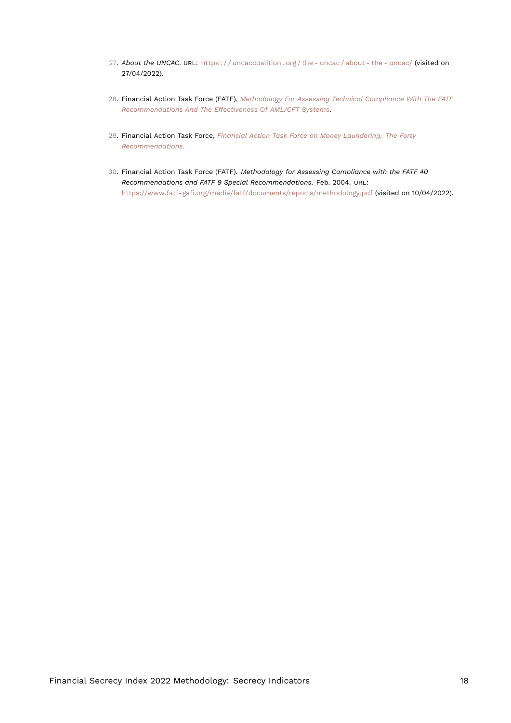- <span id="page-17-4"></span><span id="page-17-0"></span>[27.](#page-15-13) *About the UNCAC*. URL: [https : / / uncaccoalition . org / the - uncac / about - the - uncac/](https://uncaccoalition.org/the-uncac/about-the-uncac/) (visited on 27/04/2022).
- <span id="page-17-1"></span>[28.](#page-15-14) Financial Action Task Force (FATF), *[Methodology For Assessing Technical Compliance With The FATF](#page-16-16) [Recommendations And The Effectiveness Of AML/CFT Systems](#page-16-16)*.
- <span id="page-17-2"></span>[29.](#page-15-15) Financial Action Task Force, *[Financial Action Task Force on Money Laundering. The Forty](#page-16-15) [Recommendations.](#page-16-15)*
- <span id="page-17-3"></span>[30.](#page-15-16) Financial Action Task Force (FATF). *Methodology for Assessing Compliance with the FATF 40 Recommendations and FATF 9 Special Recommendations*. Feb. 2004. URL: <https://www.fatf-gafi.org/media/fatf/documents/reports/methodology.pdf> (visited on 10/04/2022).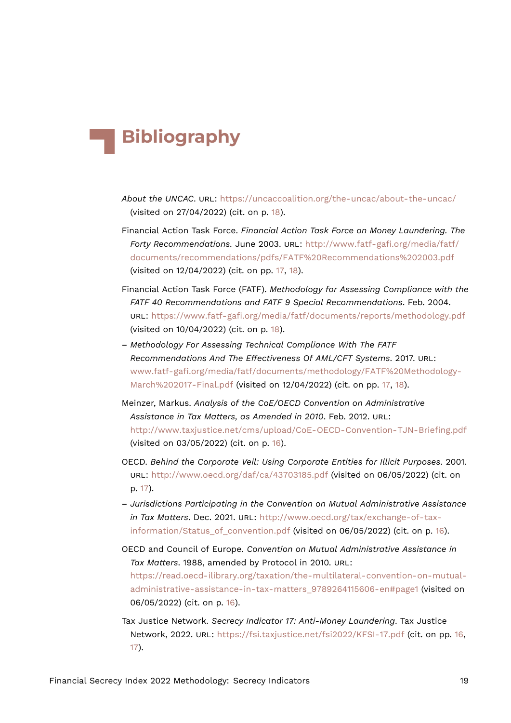## **Bibliography**

- *About the UNCAC*. URL: <https://uncaccoalition.org/the-uncac/about-the-uncac/> (visited on 27/04/2022) (cit. on p. [18\)](#page-17-4).
- Financial Action Task Force. *Financial Action Task Force on Money Laundering. The Forty Recommendations.* June 2003. URL: [http://www.fatf-gafi.org/media/fatf/](http://www.fatf-gafi.org/media/fatf/documents/recommendations/pdfs/FATF%20Recommendations%202003.pdf) [documents/recommendations/pdfs/FATF%20Recommendations%202003.pdf](http://www.fatf-gafi.org/media/fatf/documents/recommendations/pdfs/FATF%20Recommendations%202003.pdf) (visited on 12/04/2022) (cit. on pp. [17](#page-16-17), [18](#page-17-4)).
- Financial Action Task Force (FATF). *Methodology for Assessing Compliance with the FATF 40 Recommendations and FATF 9 Special Recommendations*. Feb. 2004. URL: <https://www.fatf-gafi.org/media/fatf/documents/reports/methodology.pdf> (visited on 10/04/2022) (cit. on p. [18\)](#page-17-4).
- *Methodology For Assessing Technical Compliance With The FATF Recommendations And The Effectiveness Of AML/CFT Systems*. 2017. URL: [www.fatf-gafi.org/media/fatf/documents/methodology/FATF%20Methodology-](www.fatf-gafi.org/media/fatf/documents/methodology/FATF%20Methodology-March%202017-Final.pdf)[March%202017-Final.pdf](www.fatf-gafi.org/media/fatf/documents/methodology/FATF%20Methodology-March%202017-Final.pdf) (visited on 12/04/2022) (cit. on pp. [17,](#page-16-17) [18\)](#page-17-4).
- Meinzer, Markus. *Analysis of the CoE/OECD Convention on Administrative Assistance in Tax Matters, as Amended in 2010*. Feb. 2012. URL: <http://www.taxjustice.net/cms/upload/CoE-OECD-Convention-TJN-Briefing.pdf> (visited on 03/05/2022) (cit. on p. [16](#page-15-17)).
- OECD. *Behind the Corporate Veil: Using Corporate Entities for Illicit Purposes*. 2001. URL: <http://www.oecd.org/daf/ca/43703185.pdf> (visited on 06/05/2022) (cit. on p. [17](#page-16-17)).
- *Jurisdictions Participating in the Convention on Mutual Administrative Assistance in Tax Matters*. Dec. 2021. URL: [http://www.oecd.org/tax/exchange-of-tax](http://www.oecd.org/tax/exchange-of-tax-information/Status_of_convention.pdf)[information/Status\\_of\\_convention.pdf](http://www.oecd.org/tax/exchange-of-tax-information/Status_of_convention.pdf) (visited on 06/05/2022) (cit. on p. [16\)](#page-15-17).
- OECD and Council of Europe. *Convention on Mutual Administrative Assistance in Tax Matters*. 1988, amended by Protocol in 2010. URL: [https://read.oecd-ilibrary.org/taxation/the-multilateral-convention-on-mutual](https://read.oecd-ilibrary.org/taxation/the-multilateral-convention-on-mutual-administrative-assistance-in-tax-matters_9789264115606-en#page1)[administrative-assistance-in-tax-matters\\_9789264115606-en#page1](https://read.oecd-ilibrary.org/taxation/the-multilateral-convention-on-mutual-administrative-assistance-in-tax-matters_9789264115606-en#page1) (visited on 06/05/2022) (cit. on p. [16\)](#page-15-17).
- Tax Justice Network. *Secrecy Indicator 17: Anti-Money Laundering*. Tax Justice Network, 2022. URL: <https://fsi.taxjustice.net/fsi2022/KFSI-17.pdf> (cit. on pp. [16,](#page-15-17) [17](#page-16-17)).